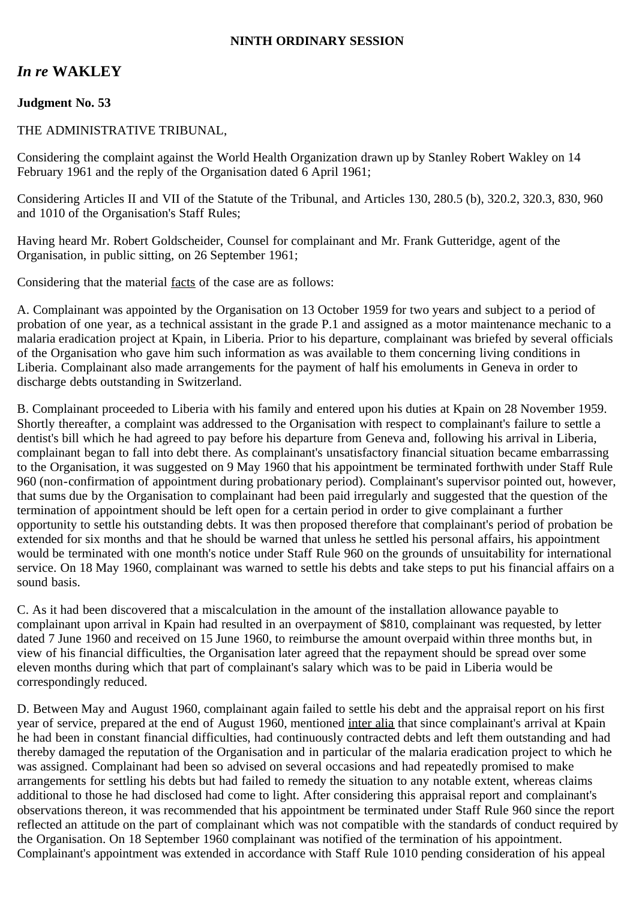## **NINTH ORDINARY SESSION**

# *In re* **WAKLEY**

## **Judgment No. 53**

### THE ADMINISTRATIVE TRIBUNAL,

Considering the complaint against the World Health Organization drawn up by Stanley Robert Wakley on 14 February 1961 and the reply of the Organisation dated 6 April 1961;

Considering Articles II and VII of the Statute of the Tribunal, and Articles 130, 280.5 (b), 320.2, 320.3, 830, 960 and 1010 of the Organisation's Staff Rules;

Having heard Mr. Robert Goldscheider, Counsel for complainant and Mr. Frank Gutteridge, agent of the Organisation, in public sitting, on 26 September 1961;

Considering that the material facts of the case are as follows:

A. Complainant was appointed by the Organisation on 13 October 1959 for two years and subject to a period of probation of one year, as a technical assistant in the grade P.1 and assigned as a motor maintenance mechanic to a malaria eradication project at Kpain, in Liberia. Prior to his departure, complainant was briefed by several officials of the Organisation who gave him such information as was available to them concerning living conditions in Liberia. Complainant also made arrangements for the payment of half his emoluments in Geneva in order to discharge debts outstanding in Switzerland.

B. Complainant proceeded to Liberia with his family and entered upon his duties at Kpain on 28 November 1959. Shortly thereafter, a complaint was addressed to the Organisation with respect to complainant's failure to settle a dentist's bill which he had agreed to pay before his departure from Geneva and, following his arrival in Liberia, complainant began to fall into debt there. As complainant's unsatisfactory financial situation became embarrassing to the Organisation, it was suggested on 9 May 1960 that his appointment be terminated forthwith under Staff Rule 960 (non-confirmation of appointment during probationary period). Complainant's supervisor pointed out, however, that sums due by the Organisation to complainant had been paid irregularly and suggested that the question of the termination of appointment should be left open for a certain period in order to give complainant a further opportunity to settle his outstanding debts. It was then proposed therefore that complainant's period of probation be extended for six months and that he should be warned that unless he settled his personal affairs, his appointment would be terminated with one month's notice under Staff Rule 960 on the grounds of unsuitability for international service. On 18 May 1960, complainant was warned to settle his debts and take steps to put his financial affairs on a sound basis.

C. As it had been discovered that a miscalculation in the amount of the installation allowance payable to complainant upon arrival in Kpain had resulted in an overpayment of \$810, complainant was requested, by letter dated 7 June 1960 and received on 15 June 1960, to reimburse the amount overpaid within three months but, in view of his financial difficulties, the Organisation later agreed that the repayment should be spread over some eleven months during which that part of complainant's salary which was to be paid in Liberia would be correspondingly reduced.

D. Between May and August 1960, complainant again failed to settle his debt and the appraisal report on his first year of service, prepared at the end of August 1960, mentioned inter alia that since complainant's arrival at Kpain he had been in constant financial difficulties, had continuously contracted debts and left them outstanding and had thereby damaged the reputation of the Organisation and in particular of the malaria eradication project to which he was assigned. Complainant had been so advised on several occasions and had repeatedly promised to make arrangements for settling his debts but had failed to remedy the situation to any notable extent, whereas claims additional to those he had disclosed had come to light. After considering this appraisal report and complainant's observations thereon, it was recommended that his appointment be terminated under Staff Rule 960 since the report reflected an attitude on the part of complainant which was not compatible with the standards of conduct required by the Organisation. On 18 September 1960 complainant was notified of the termination of his appointment. Complainant's appointment was extended in accordance with Staff Rule 1010 pending consideration of his appeal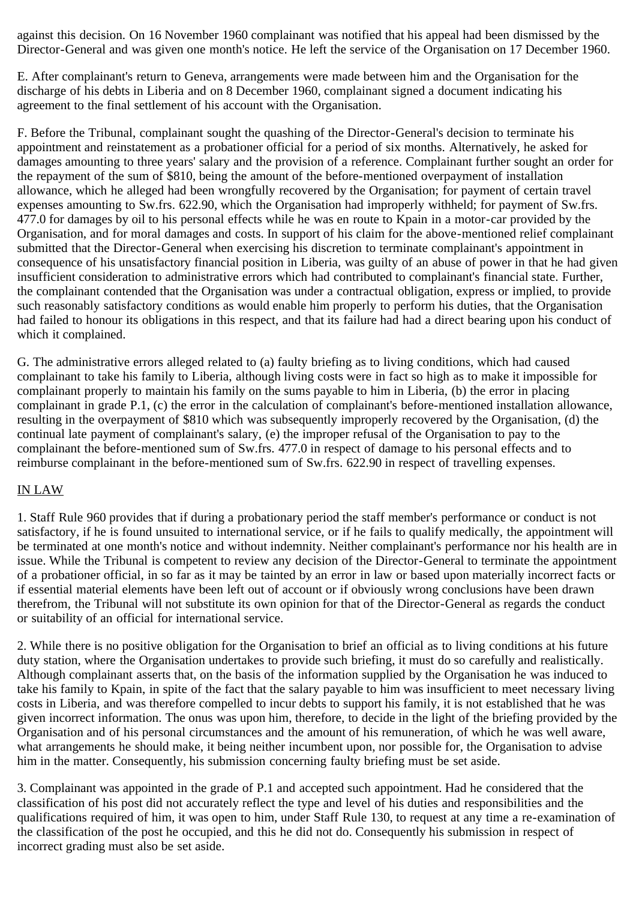against this decision. On 16 November 1960 complainant was notified that his appeal had been dismissed by the Director-General and was given one month's notice. He left the service of the Organisation on 17 December 1960.

E. After complainant's return to Geneva, arrangements were made between him and the Organisation for the discharge of his debts in Liberia and on 8 December 1960, complainant signed a document indicating his agreement to the final settlement of his account with the Organisation.

F. Before the Tribunal, complainant sought the quashing of the Director-General's decision to terminate his appointment and reinstatement as a probationer official for a period of six months. Alternatively, he asked for damages amounting to three years' salary and the provision of a reference. Complainant further sought an order for the repayment of the sum of \$810, being the amount of the before-mentioned overpayment of installation allowance, which he alleged had been wrongfully recovered by the Organisation; for payment of certain travel expenses amounting to Sw.frs. 622.90, which the Organisation had improperly withheld; for payment of Sw.frs. 477.0 for damages by oil to his personal effects while he was en route to Kpain in a motor-car provided by the Organisation, and for moral damages and costs. In support of his claim for the above-mentioned relief complainant submitted that the Director-General when exercising his discretion to terminate complainant's appointment in consequence of his unsatisfactory financial position in Liberia, was guilty of an abuse of power in that he had given insufficient consideration to administrative errors which had contributed to complainant's financial state. Further, the complainant contended that the Organisation was under a contractual obligation, express or implied, to provide such reasonably satisfactory conditions as would enable him properly to perform his duties, that the Organisation had failed to honour its obligations in this respect, and that its failure had had a direct bearing upon his conduct of which it complained.

G. The administrative errors alleged related to (a) faulty briefing as to living conditions, which had caused complainant to take his family to Liberia, although living costs were in fact so high as to make it impossible for complainant properly to maintain his family on the sums payable to him in Liberia, (b) the error in placing complainant in grade P.1, (c) the error in the calculation of complainant's before-mentioned installation allowance, resulting in the overpayment of \$810 which was subsequently improperly recovered by the Organisation, (d) the continual late payment of complainant's salary, (e) the improper refusal of the Organisation to pay to the complainant the before-mentioned sum of Sw.frs. 477.0 in respect of damage to his personal effects and to reimburse complainant in the before-mentioned sum of Sw.frs. 622.90 in respect of travelling expenses.

#### IN LAW

1. Staff Rule 960 provides that if during a probationary period the staff member's performance or conduct is not satisfactory, if he is found unsuited to international service, or if he fails to qualify medically, the appointment will be terminated at one month's notice and without indemnity. Neither complainant's performance nor his health are in issue. While the Tribunal is competent to review any decision of the Director-General to terminate the appointment of a probationer official, in so far as it may be tainted by an error in law or based upon materially incorrect facts or if essential material elements have been left out of account or if obviously wrong conclusions have been drawn therefrom, the Tribunal will not substitute its own opinion for that of the Director-General as regards the conduct or suitability of an official for international service.

2. While there is no positive obligation for the Organisation to brief an official as to living conditions at his future duty station, where the Organisation undertakes to provide such briefing, it must do so carefully and realistically. Although complainant asserts that, on the basis of the information supplied by the Organisation he was induced to take his family to Kpain, in spite of the fact that the salary payable to him was insufficient to meet necessary living costs in Liberia, and was therefore compelled to incur debts to support his family, it is not established that he was given incorrect information. The onus was upon him, therefore, to decide in the light of the briefing provided by the Organisation and of his personal circumstances and the amount of his remuneration, of which he was well aware, what arrangements he should make, it being neither incumbent upon, nor possible for, the Organisation to advise him in the matter. Consequently, his submission concerning faulty briefing must be set aside.

3. Complainant was appointed in the grade of P.1 and accepted such appointment. Had he considered that the classification of his post did not accurately reflect the type and level of his duties and responsibilities and the qualifications required of him, it was open to him, under Staff Rule 130, to request at any time a re-examination of the classification of the post he occupied, and this he did not do. Consequently his submission in respect of incorrect grading must also be set aside.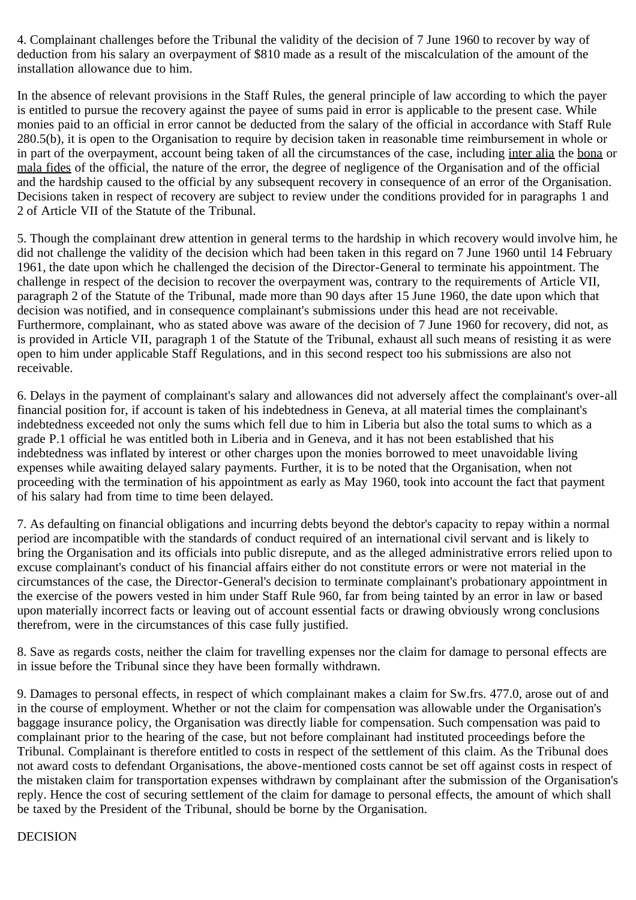4. Complainant challenges before the Tribunal the validity of the decision of 7 June 1960 to recover by way of deduction from his salary an overpayment of \$810 made as a result of the miscalculation of the amount of the installation allowance due to him.

In the absence of relevant provisions in the Staff Rules, the general principle of law according to which the payer is entitled to pursue the recovery against the payee of sums paid in error is applicable to the present case. While monies paid to an official in error cannot be deducted from the salary of the official in accordance with Staff Rule 280.5(b), it is open to the Organisation to require by decision taken in reasonable time reimbursement in whole or in part of the overpayment, account being taken of all the circumstances of the case, including inter alia the bona or mala fides of the official, the nature of the error, the degree of negligence of the Organisation and of the official and the hardship caused to the official by any subsequent recovery in consequence of an error of the Organisation. Decisions taken in respect of recovery are subject to review under the conditions provided for in paragraphs 1 and 2 of Article VII of the Statute of the Tribunal.

5. Though the complainant drew attention in general terms to the hardship in which recovery would involve him, he did not challenge the validity of the decision which had been taken in this regard on 7 June 1960 until 14 February 1961, the date upon which he challenged the decision of the Director-General to terminate his appointment. The challenge in respect of the decision to recover the overpayment was, contrary to the requirements of Article VII, paragraph 2 of the Statute of the Tribunal, made more than 90 days after 15 June 1960, the date upon which that decision was notified, and in consequence complainant's submissions under this head are not receivable. Furthermore, complainant, who as stated above was aware of the decision of 7 June 1960 for recovery, did not, as is provided in Article VII, paragraph 1 of the Statute of the Tribunal, exhaust all such means of resisting it as were open to him under applicable Staff Regulations, and in this second respect too his submissions are also not receivable.

6. Delays in the payment of complainant's salary and allowances did not adversely affect the complainant's over-all financial position for, if account is taken of his indebtedness in Geneva, at all material times the complainant's indebtedness exceeded not only the sums which fell due to him in Liberia but also the total sums to which as a grade P.1 official he was entitled both in Liberia and in Geneva, and it has not been established that his indebtedness was inflated by interest or other charges upon the monies borrowed to meet unavoidable living expenses while awaiting delayed salary payments. Further, it is to be noted that the Organisation, when not proceeding with the termination of his appointment as early as May 1960, took into account the fact that payment of his salary had from time to time been delayed.

7. As defaulting on financial obligations and incurring debts beyond the debtor's capacity to repay within a normal period are incompatible with the standards of conduct required of an international civil servant and is likely to bring the Organisation and its officials into public disrepute, and as the alleged administrative errors relied upon to excuse complainant's conduct of his financial affairs either do not constitute errors or were not material in the circumstances of the case, the Director-General's decision to terminate complainant's probationary appointment in the exercise of the powers vested in him under Staff Rule 960, far from being tainted by an error in law or based upon materially incorrect facts or leaving out of account essential facts or drawing obviously wrong conclusions therefrom, were in the circumstances of this case fully justified.

8. Save as regards costs, neither the claim for travelling expenses nor the claim for damage to personal effects are in issue before the Tribunal since they have been formally withdrawn.

9. Damages to personal effects, in respect of which complainant makes a claim for Sw.frs. 477.0, arose out of and in the course of employment. Whether or not the claim for compensation was allowable under the Organisation's baggage insurance policy, the Organisation was directly liable for compensation. Such compensation was paid to complainant prior to the hearing of the case, but not before complainant had instituted proceedings before the Tribunal. Complainant is therefore entitled to costs in respect of the settlement of this claim. As the Tribunal does not award costs to defendant Organisations, the above-mentioned costs cannot be set off against costs in respect of the mistaken claim for transportation expenses withdrawn by complainant after the submission of the Organisation's reply. Hence the cost of securing settlement of the claim for damage to personal effects, the amount of which shall be taxed by the President of the Tribunal, should be borne by the Organisation.

#### DECISION